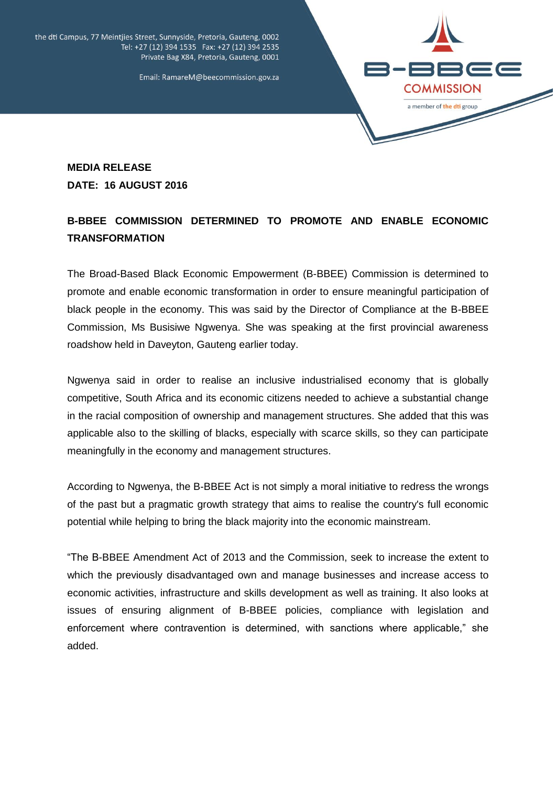

the dti Campus, 77 Meintjies Street, Sunnyside, Pretoria, Gauteng, 0002 Tel: +27 (12) 394 1535 Fax: +27 (12) 394 2535 Private Bag X84, Pretoria, Gauteng, 0001

Email: RamareM@beecommission.gov.za

## **MEDIA RELEASE DATE: 16 AUGUST 2016**

## **B-BBEE COMMISSION DETERMINED TO PROMOTE AND ENABLE ECONOMIC TRANSFORMATION**

The Broad-Based Black Economic Empowerment (B-BBEE) Commission is determined to promote and enable economic transformation in order to ensure meaningful participation of black people in the economy. This was said by the Director of Compliance at the B-BBEE Commission, Ms Busisiwe Ngwenya. She was speaking at the first provincial awareness roadshow held in Daveyton, Gauteng earlier today.

Ngwenya said in order to realise an inclusive industrialised economy that is globally competitive, South Africa and its economic citizens needed to achieve a substantial change in the racial composition of ownership and management structures. She added that this was applicable also to the skilling of blacks, especially with scarce skills, so they can participate meaningfully in the economy and management structures.

According to Ngwenya, the B-BBEE Act is not simply a moral initiative to redress the wrongs of the past but a pragmatic growth strategy that aims to realise the country's full economic potential while helping to bring the black majority into the economic mainstream.

"The B-BBEE Amendment Act of 2013 and the Commission, seek to increase the extent to which the previously disadvantaged own and manage businesses and increase access to economic activities, infrastructure and skills development as well as training. It also looks at issues of ensuring alignment of B-BBEE policies, compliance with legislation and enforcement where contravention is determined, with sanctions where applicable," she added.